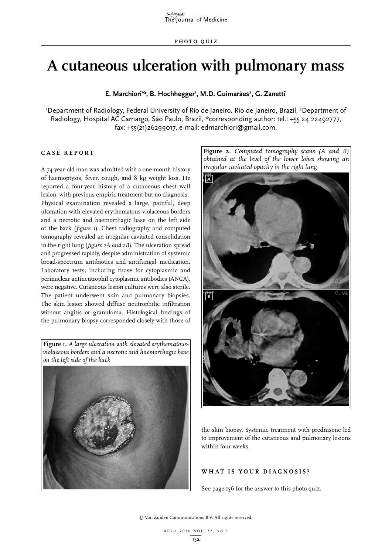# **A cutaneous ulceration with pulmonary mass**

E. Marchiori<sup>1:</sup>\*, B. Hochhegger<sup>1</sup>, M.D. Guimarães<sup>2</sup>, G. Zanetti<sup>1</sup>

'Department of Radiology, Federal University of Rio de Janeiro. Rio de Janeiro, Brazil, <sup>2</sup>Department of Radiology, Hospital AC Camargo, São Paulo, Brazil, \*corresponding author: tel.: +55 24 22492777, fax: +55(21)26299017, e-mail: edmarchiori@gmail.com.

## **C ASE RE P ORT**

A 74-year-old man was admitted with a one-month history of haemoptysis, fever, cough, and 8 kg weight loss. He reported a four-year history of a cutaneous chest wall lesion, with previous empiric treatment but no diagnosis. Physical examination revealed a large, painful, deep ulceration with elevated erythematous-violaceous borders and a necrotic and haemorrhagic base on the left side of the back (*figure 1*). Chest radiography and computed tomography revealed an irregular cavitated consolidation in the right lung (*figure 2A and 2B*). The ulceration spread and progressed rapidly, despite administration of systemic broad-spectrum antibiotics and antifungal medication. Laboratory tests, including those for cytoplasmic and perinuclear antineutrophil cytoplasmic antibodies (ANCA), were negative. Cutaneous lesion cultures were also sterile. The patient underwent skin and pulmonary biopsies. The skin lesion showed diffuse neutrophilic infiltration without angitis or granuloma. Histological findings of the pulmonary biopsy corresponded closely with those of

**Figure 1.** *A large ulceration with elevated erythematousviolaceous borders and a necrotic and haemorrhagic base on the left side of the back*



**Figure 2.** *Computed tomography scans (A and B) obtained at the level of the lower lobes showing an irregular cavitated opacity in the right lung*



the skin biopsy. Systemic treatment with prednisone led to improvement of the cutaneous and pulmonary lesions within four weeks.

# **W H AT IS Y O U R DIA G NOSIS ?**

See page 156 for the answer to this photo quiz.

© Van Zuiden Communications B.V. All rights reserved.